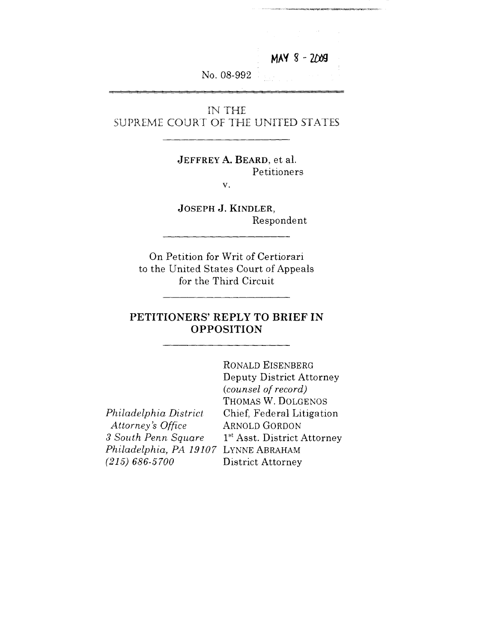MAY 8 - 2009

No. 08-992

IN THE SUPREME COURT OF THE UNITED STATES

> **JEFFREY A. BEARD, et al.** Petitioners  $V_{\star}$

**JOSEPH J. KINDLER,** Respondent

On Petition for Writ of Certiorari to the United States Court of Appeals for the Third Circuit

#### **PETITIONERS' REPLY TO BRIEF IN OPPOSITION**

|                                      | RONALD EISENBERG                        |
|--------------------------------------|-----------------------------------------|
|                                      | Deputy District Attorney                |
|                                      | (counsel of record)                     |
|                                      | THOMAS W. DOLGENOS                      |
| Philadelphia District                | Chief, Federal Litigation               |
| Attorney's Office                    | <b>ARNOLD GORDON</b>                    |
| 3 South Penn Square                  | 1 <sup>st</sup> Asst. District Attorney |
| Philadelphia, PA 19107 LYNNE ABRAHAM |                                         |
| $(215) 686 - 5700$                   | District Attorney                       |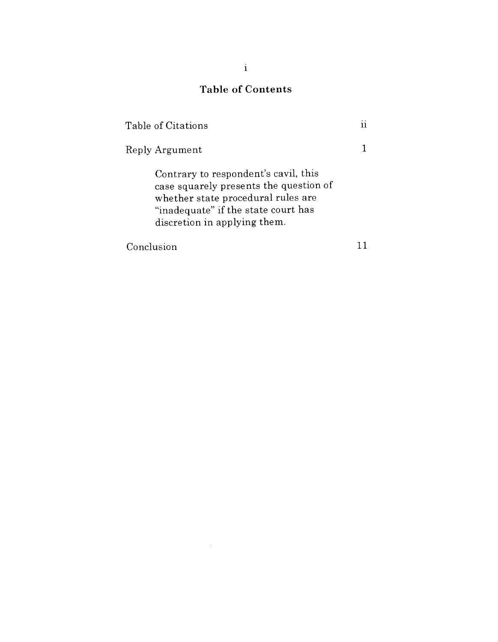# Table of Contents

| Table of Citations                                                                                                                                                                          |  |
|---------------------------------------------------------------------------------------------------------------------------------------------------------------------------------------------|--|
| Reply Argument                                                                                                                                                                              |  |
| Contrary to respondent's cavil, this<br>case squarely presents the question of<br>whether state procedural rules are<br>"inadequate" if the state court has<br>discretion in applying them. |  |
| Conclusion                                                                                                                                                                                  |  |

 $\mathcal{L}^{\text{max}}_{\text{max}}$  ,  $\mathcal{L}^{\text{max}}_{\text{max}}$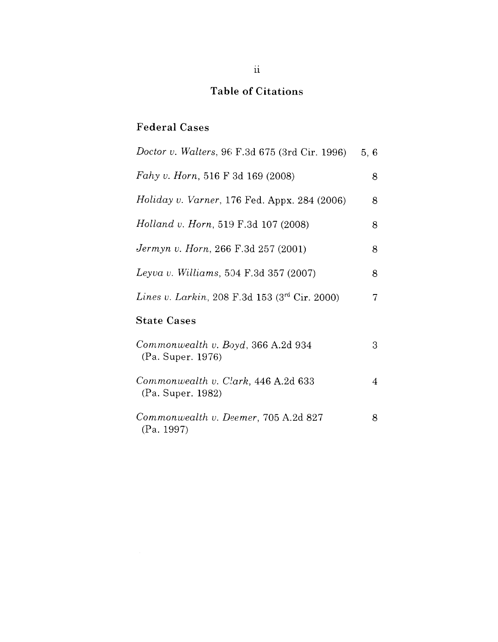# Table of Citations

# Federal Cases

| <i>Doctor v. Walters, 96 F.3d 675 (3rd Cir. 1996)</i>             | 5, 6 |
|-------------------------------------------------------------------|------|
| Fahy v. Horn, 516 F 3d 169 (2008)                                 | 8    |
| <i>Holiday v. Varner</i> , 176 Fed. Appx. 284 $(2006)$            | 8    |
| <i>Holland v. Horn,</i> 519 F.3d 107 (2008)                       | 8    |
| <i>Jermyn v. Horn,</i> 266 F.3d 257 (2001)                        | 8    |
| <i>Leyva v. Williams,</i> 504 F.3d 357 (2007)                     | 8    |
| <i>Lines v. Larkin</i> , 208 F.3d 153 (3 <sup>rd</sup> Cir. 2000) | 7    |
| <b>State Cases</b>                                                |      |
| Commonwealth v. Boyd, 366 A.2d 934<br>(Pa. Super. 1976)           | 3    |
| Commonwealth v. Clark, 446 A.2d 633<br>(Pa. Super. 1982)          | 4    |
| Commonwealth v. Deemer, 705 A.2d 827<br>(Pa. 1997)                | 8    |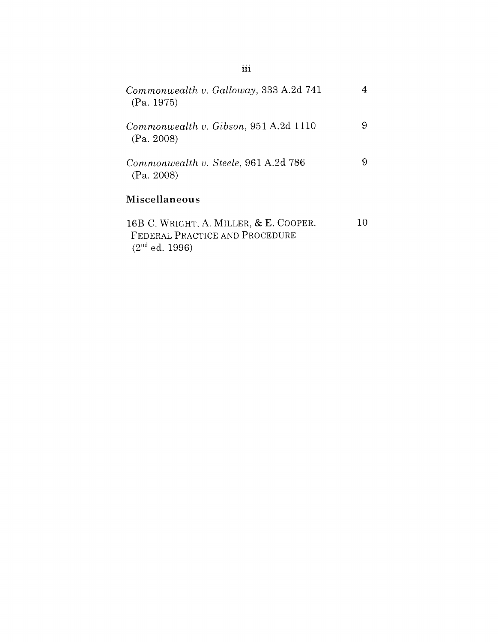| Commonwealth v. Galloway, 333 A.2d 741<br>(Pa. 1975)                                         |    |
|----------------------------------------------------------------------------------------------|----|
| Commonwealth v. Gibson, 951 A.2d 1110<br>(Pa. 2008)                                          | 9  |
| Commonwealth v. Steele, 961 A.2d 786<br>(Pa. 2008)                                           | 9  |
| <b>Miscellaneous</b>                                                                         |    |
| 16B C. WRIGHT, A. MILLER, & E. COOPER,<br>FEDERAL PRACTICE AND PROCEDURE<br>$(2nd$ ed. 1996) | 10 |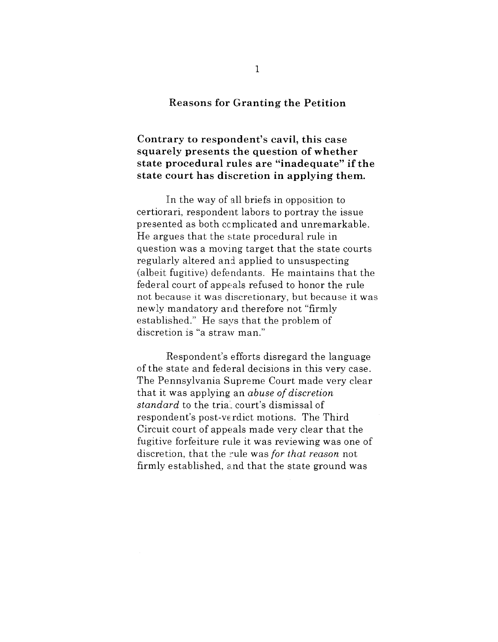#### **Reasons for Granting the Petition**

**Contrary to respondent's cavil, this case squarely presents the question of whether state procedural rules are "inadequate" if the state court has discretion in applying them.**

In the way of all briefs in opposition to certiorari, respondent labors to portray the issue presented as both ccmplicated and unremarkable. He argues that the state procedural rule in question was a moving target that the state courts regularly altered and applied to unsuspecting (albeit fugitive) defendants. He maintains that the federal court of appeals refused to honor the rule not because it was discretionary, but because it was newly mandatory and therefore not "firmly established." He says that the problem of discretion is "a straw man."

Respondent's efforts disregard the language of the state and federal decisions in this very case. The Pennsylvania Supreme Court made very clear that it was applying an *abuse of discretion standard* to the trial: court's dismissal of respondent's post-verdict motions. The Third Circuit court of appeals made very clear that the fugitive forfeiture rule it was reviewing was one of discretion, that the ~:ule was *for that reason* not firmly established, and that the state ground was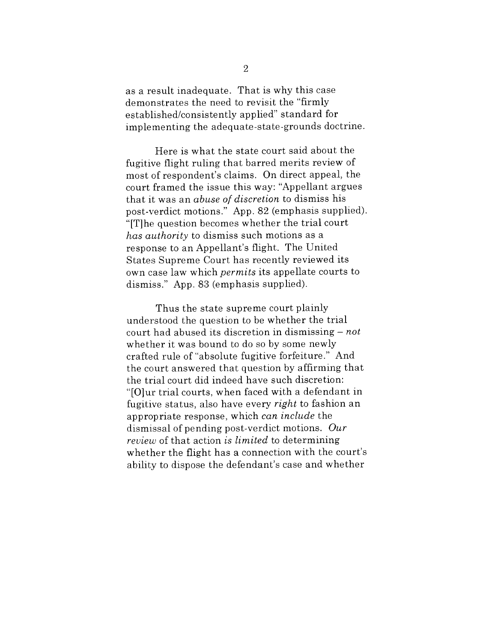as a result inadequate. That is why this case demonstrates the need to revisit the "firmly established/consistently applied" standard for implementing the adequate-state-grounds doctrine.

Here is what the state court said about the fugitive flight ruling that barred merits review of most of respondent's claims. On direct appeal, the court framed the issue this way: "Appellant argues that it was an *abuse of discretion* to dismiss his post-verdict motions." App. 82 (emphasis supplied). "[T]he question becomes whether the trial court *has authority* to dismiss such motions as a response to an Appellant's flight. The United States Supreme Court has recently reviewed its own case law which *permits* its appellate courts to dismiss." App. 83 (emphasis supplied).

Thus the state supreme court plainly understood the question to be whether the trial court had abused its discretion in dismissing - *not* whether it was bound to do so by some newly crafted rule of "absolute fugitive forfeiture." And the court answered that question by affirming that the trial court did indeed have such discretion: "[O]ur trial courts, when faced with a defendant in fugitive status, also have every *right* to fashion an appropriate response, which *can include* the dismissal of pending post-verdict motions. *Our review* of that action *is limited* to determining whether the flight has a connection with the court's ability to dispose the defendant's case and whether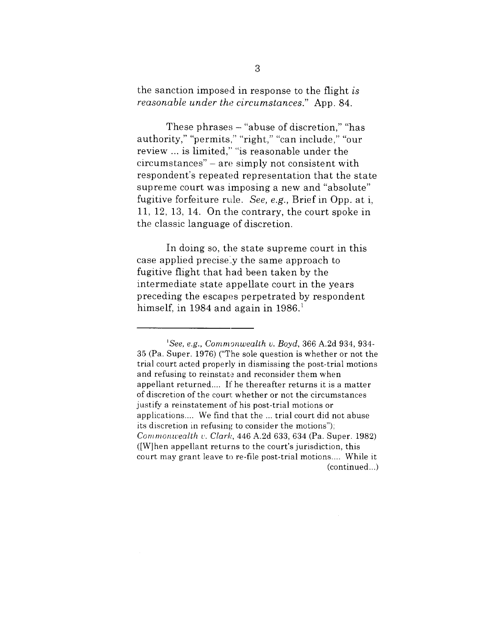the sanction imposed in response to the flight *is reasonable under the circumstances."* App. 84.

These phrases  $-$  "abuse of discretion," "has authority," "permits," "right," "can include," "our review ... is limited," "is reasonable under the circumstances" - are simply not consistent with respondent's repeated representation that the state supreme court was imposing a new and "absolute" fugitive forfeiture rule. *See, e.g.*, Brief in Opp. at i, 11, 12, 13, 14. On the contrary, the court spoke in the classic language of discretion.

In doing so, the state supreme court in this case applied precisely the same approach to fugitive flight that had been taken by the intermediate state appellate court in the years preceding the escapes perpetrated by respondent himself, in 1984 and again in  $1986$ <sup>1</sup>

*<sup>&#</sup>x27;See, e.g., Commgnwealth v. Boyd,* 366 A.2d 934, 934- 35 (Pa. Super. 1976) ("The sole question is whether or not the trial court acted properly in dismissing the post-trial motions and refusing to reinstate and reconsider them when appellant returned.... If he thereafter returns it is a matter of discretion of the court whether or not the circumstances justify a reinstatement of his post-trial motions or applications.... We find that the ... trial court did not abuse its discretion in refusing to consider the motions"); *Commonwealth v. Clark,* 446 A.2d 633, 634 (Pa. Super. 1982) ([W]hen appellant returns to the court's jurisdiction, this court may grant leave to re-file post-trial motions .... While it (continued...)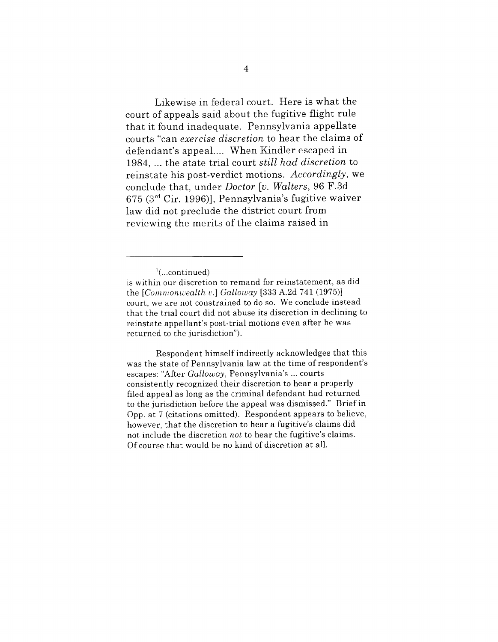Likewise in federal court. Here is what the court of appeals said about the fugitive flight rule that it found inadequate. Pennsylvania appellate courts "can *exercise discretion* to hear the claims of defendant's appeal.... When Kindler escaped in 1984, ... the state trial court *still had discretion* to reinstate his post-verdict motions. *Accordingly,* we conclude that, under *Doctor [v. Walters,* 96 F.3d  $675$  ( $3<sup>rd</sup>$  Cir. 1996)], Pennsylvania's fugitive waiver law did not preclude the district court from reviewing the merits of the claims raised in

Respondent himself indirectly acknowledges that this was the state of Pennsylvania law at the time of respondent's escapes: "After *Galloway,* Pennsylvania's ... courts consistently recognized their discretion to hear a properly filed appeal as long as the criminal defendant had returned to the jurisdiction before the appeal was dismissed." Brief in Opp. at 7 (citations omitted). Respondent appears to believe, however, that the discretion to hear a fugitive's claims did not include the discretion *not* to hear the fugitive's claims. Of course that would be no kind of discretion at all.

 $^1$ (...continued)

is within our discretion to remand for reinstatement, as did the *[Commonwealth ~,.] Galloway* [333 A.2d 741 (1975)] court, we are not constrained to do so. We conclude instead that the trial court did not abuse its discretion in declining to reinstate appellant's post-trial motions even after he was returned to the jurisdiction").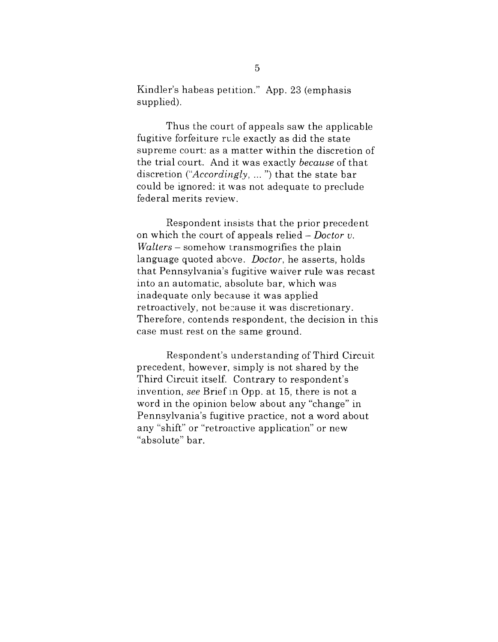Kindler's habeas petition." App. 23 (emphasis supplied).

Thus the court of appeals saw the applicable fugitive forfeiture rule exactly as did the state supreme court: as a matter within the discretion of the trial court. And it was exactly *because* of that discretion *("Accordingly* .... ") that the state bar could be ignored: it was not adequate to preclude federal merits review.

Respondent insists that the prior precedent on which the court of appeals relied - *Doctor v. Walters* – somehow transmogrifies the plain language quoted above. *Doctor,* he asserts, holds that Pennsylvania's fugitive waiver rule was recast into an automatic, absolute bar, which was inadequate only because it was applied retroactively, not because it was discretionary. Therefore, contends respondent, the decision in this case must rest on the same ground.

Respondent's understanding of Third Circuit precedent, however, simply is not shared by the Third Circuit itself. Contrary to respondent's invention, *see* Brief in Opp. at 15, there is not a word in the opinion below about any "change" in Pennsylvania's fugitive practice, not a word about any "shift" or "retroactive application" or new "absolute" bar.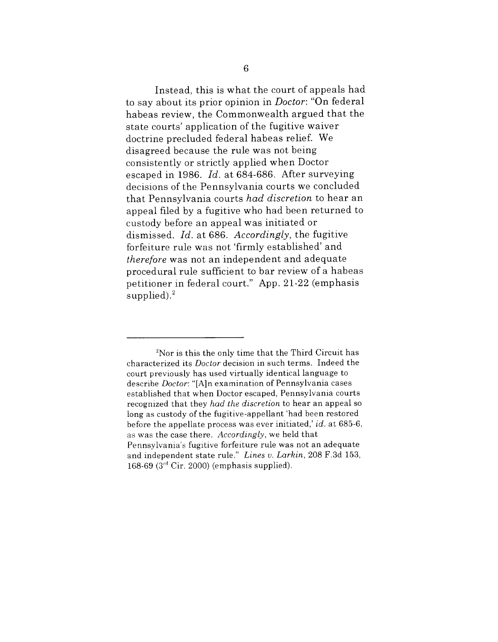Instead, this is what the court of appeals had to say about its prior opinion in *Doctor:* "On federal habeas review, the Commonwealth argued that the state courts' application of the fugitive waiver doctrine precluded federal habeas relief. We disagreed because the rule was not being consistently or strictly applied when Doctor escaped in 1986. *Id.* at 684-686. After surveying decisions of the Pennsylvania courts we concluded that Pennsylvania courts *had discretion* to hear an appeal filed by a fugitive who had been returned to custody before an appeal was initiated or dismissed. *Id.* at 686. *Accordingly,* the fugitive forfeiture rule was not 'firmly established' and *therefbre* was not an independent and adequate procedural rule sufficient to bar review of a habeas petitioner in federal court." App. 21-22 (emphasis supplied). $^{2}$ 

 $2$ Nor is this the only time that the Third Circuit has characterized its *Doctor* decision in such terms. Indeed the court previously has used virtually identical language to describe *Doctor:* "[A]n examination of Pennsylvania cases established that when Doctor escaped, Pennsylvania courts recognized that they *had the discretion* to hear an appeal so long as custody of the fugitive-appellant 'had been restored before the appellate process was ever initiated,' *id.* at 685-6, as was the case there. *Accordingly,* we held that Pennsylvania's fugitive forfeiture rule was not an adequate and independent state rule." *Lines v. Larkin,* 208 F.3d 153, 168-69 ( $3<sup>rd</sup>$  Cir. 2000) (emphasis supplied).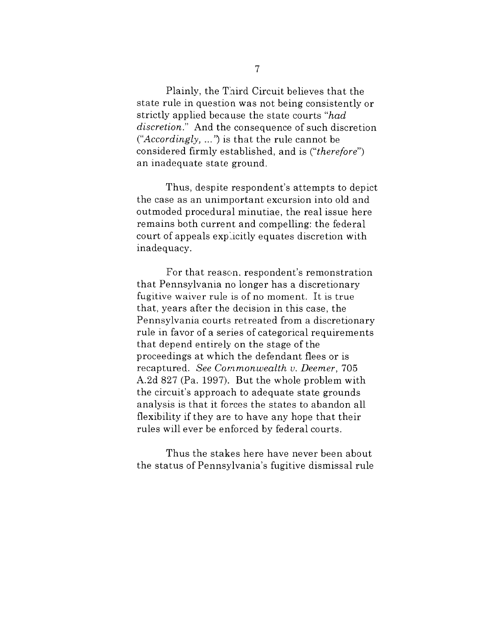Plainly, the Third Circuit believes that the state rule in question was not being consistently or strictly applied because the state courts *"had discretion."* And the consequence of such discretion ("*Accordingly, ...*") is that the rule cannot be considered firmly established, and is *("therefore")* an inadequate state ground.

Thus, despite respondent's attempts to depict the case as an unimportant excursion into old and outmoded procedural minutiae, the real issue here remains both current and compelling: the federal court of appeals expl.icitly equates discretion with inadequacy.

For that reason, respondent's remonstration that Pennsylvania no longer has a discretionary fugitive waiver rule is of no moment. It is true that, years after the decision in this case, the Pennsylvania courts retreated from a discretionary rule in favor of a series of categorical requirements that depend entirely on the stage of the proceedings at which the defendant flees or is recaptured. *See Commonwealth v. Deemer,* 705 A.2d 827 (Pa. 1997). But the whole problem with the circuit's approach to adequate state grounds analysis is that it forces the states to abandon all flexibility if they are to have any hope that their rules will ever be enforced by federal courts.

Thus the stakes here have never been about the status of Pennsylvania's fugitive dismissal rule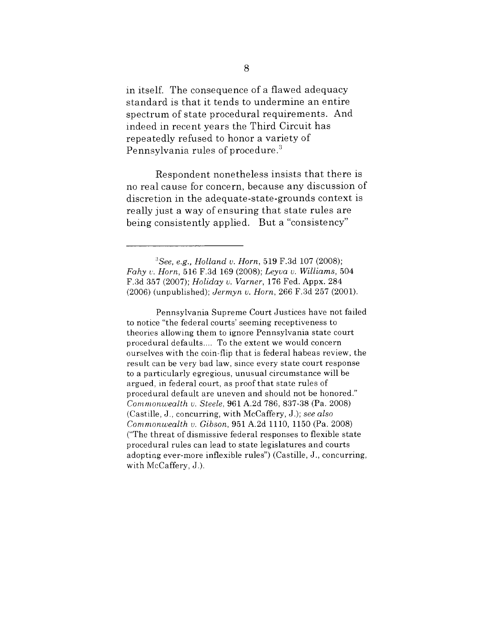in itself. The consequence of a flawed adequacy standard is that it tends to undermine an entire spectrum of state procedural requirements. And indeed in recent years the Third Circuit has repeatedly refused to honor a variety of Pennsylvania rules of procedure. $3$ 

Respondent nonetheless insists that there is no real cause for concern, because any discussion of discretion in the adequate-state-grounds context is really just a way of ensuring that state rules are being consistently applied. But a "consistency"

Pennsylvania Supreme Court Justices have not failed to notice "the federal courts' seeming receptiveness to theories allowing them to ignore Pennsylvania state court procedural defaults .... To the extent we would concern ourselves with the coin-flip that is federal habeas review, the result can be very bad law, since every state court response to a particularly egregious, unusual circumstance will be argued, in federal court, as proof that state rules of procedural default are uneven and should not be honored." *Commonwealth v. Steele,* 961 A.2d 786,837-38 (Pa. 2008) (Castille, J., concurring, with McCaffery, J.); *see also Commonwealth v. Gibson,* 951 A.2d 1110, 1150 (Pa. 2008) ("The threat of dismissive federal responses to flexible state procedural rules can lead to state legislatures and courts adoptiag ever-more inflexible rules") (Castille, J., concurring, with McCaffery, J.).

*<sup>:~</sup>See, e.g., Holland v. Horn,* 519 F.3d 107 (2008); *Fahy c,. Horn,* 516 F.3d 169 (2008); *Leyva v. Williams,* 504 F.3d 357 (2007); *Holiday v. Varner,* 176 Fed. Appx. 284 (2006) (unpublished); *Jermyn v. Horn,* 266 F.3d 257 (2001).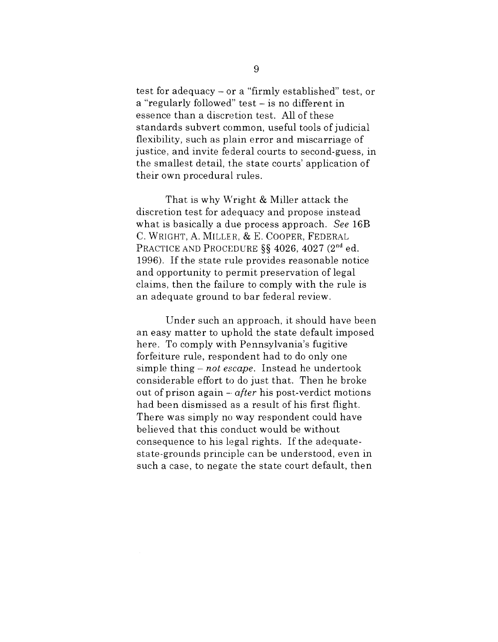test for adequacy - or a "firmly established" test, or a "regularly followed" test  $-$  is no different in essence than a discretion test. All of these standards subvert common, useful tools of judicial flexibility, such as plain error and miscarriage of justice, and invite federal courts to second-guess, in the smallest detail, the state courts' application of their own procedural rules.

That is why Wright & Miller attack the discretion test for adequacy and propose instead what is basically a due process approach. *See* 16B C. WRIGHT, A. MILLER, & E. COOPER, FEDERAL PRACTICE AND PROCEDURE §§ 4026, 4027 (2<sup>nd</sup> ed. 1996). If the state rule provides reasonable notice and opportunity to permit preservation of legal claims, then the failure to comply with the rule is an adequate ground to bar federal review.

Under such an approach, it should have been an easy matter to uphold the state default imposed here. To comply with Pennsylvania's fugitive forfeiture rule, respondent had to do only one simple thing – *not escape*. Instead he undertook considerable effort to do just that. Then he broke out of prison again  $-\alpha$  *after* his post-verdict motions had been dismissed as a result of his first flight. There was simply no way respondent could have believed that this conduct would be without consequence to his legal rights. If the adequatestate-grounds principle can be understood, even in such a case, to negate the state court default, then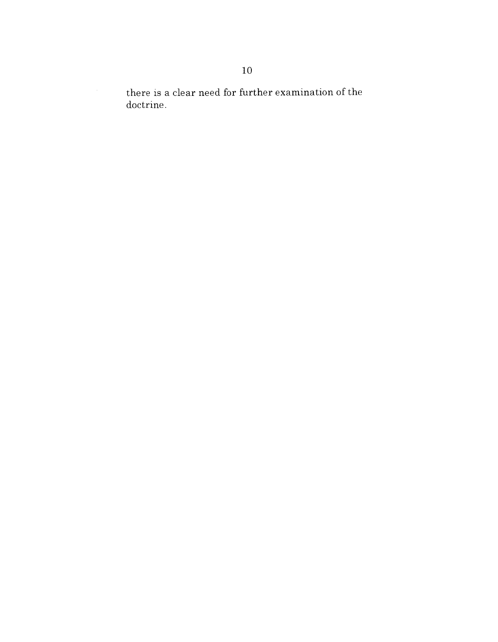there is a clear need for further examination of the doctrine.